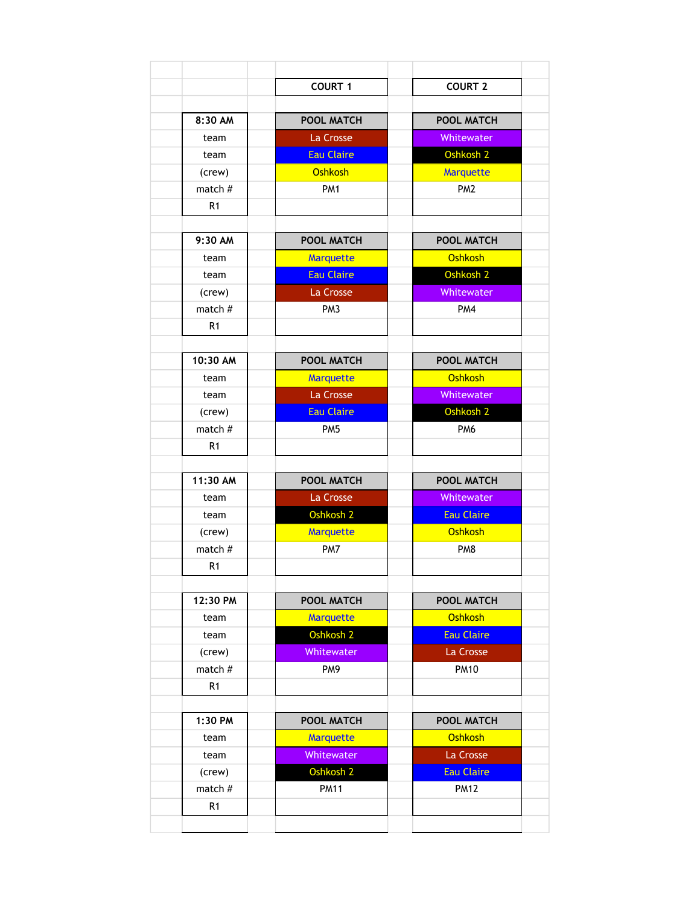|                | <b>COURT 1</b>       | <b>COURT 2</b>    |
|----------------|----------------------|-------------------|
|                |                      |                   |
| 8:30 AM        | <b>POOL MATCH</b>    | <b>POOL MATCH</b> |
| team           | La Crosse            | Whitewater        |
| team           | <b>Eau Claire</b>    | Oshkosh 2         |
| (crew)         | Oshkosh              | <b>Marquette</b>  |
| match $#$      | PM <sub>1</sub>      | PM <sub>2</sub>   |
| R1             |                      |                   |
|                |                      |                   |
| 9:30 AM        | POOL MATCH           | POOL MATCH        |
| team           | <b>Marquette</b>     | <b>Oshkosh</b>    |
| team           | <b>Eau Claire</b>    | Oshkosh 2         |
| (crew)         | La Crosse            | Whitewater        |
| match #        | PM <sub>3</sub>      | PM4               |
| R1             |                      |                   |
|                |                      |                   |
| 10:30 AM       | <b>POOL MATCH</b>    | <b>POOL MATCH</b> |
| team           | <b>Marquette</b>     | Oshkosh           |
| team           | La Crosse            | Whitewater        |
| (crew)         | <b>Eau Claire</b>    | Oshkosh 2         |
| match $#$      | PM <sub>5</sub>      | PM <sub>6</sub>   |
| R <sub>1</sub> |                      |                   |
|                |                      |                   |
| 11:30 AM       | <b>POOL MATCH</b>    | POOL MATCH        |
| team           | La Crosse            | Whitewater        |
| team           | Oshkosh 2            | <b>Eau Claire</b> |
| (crew)         | <b>Marquette</b>     | <b>Oshkosh</b>    |
| match $#$      | PM7                  | PM <sub>8</sub>   |
| R1             |                      |                   |
|                |                      |                   |
| 12:30 PM       | <b>POOL MATCH</b>    | POOL MATCH        |
| team           | <b>Marquette</b>     | Oshkosh           |
| team           | Oshkosh 2            | <b>Eau Claire</b> |
| (crew)         | Whitewater           | La Crosse         |
| match #        | PM9                  | <b>PM10</b>       |
| R <sub>1</sub> |                      |                   |
|                |                      |                   |
| 1:30 PM        | POOL MATCH           | POOL MATCH        |
| team           | <b>Marquette</b>     | <b>Oshkosh</b>    |
| team           | Whitewater           | La Crosse         |
| (crew)         | Oshkosh <sub>2</sub> | <b>Eau Claire</b> |
| match #        | <b>PM11</b>          | <b>PM12</b>       |
| R <sub>1</sub> |                      |                   |
|                |                      |                   |